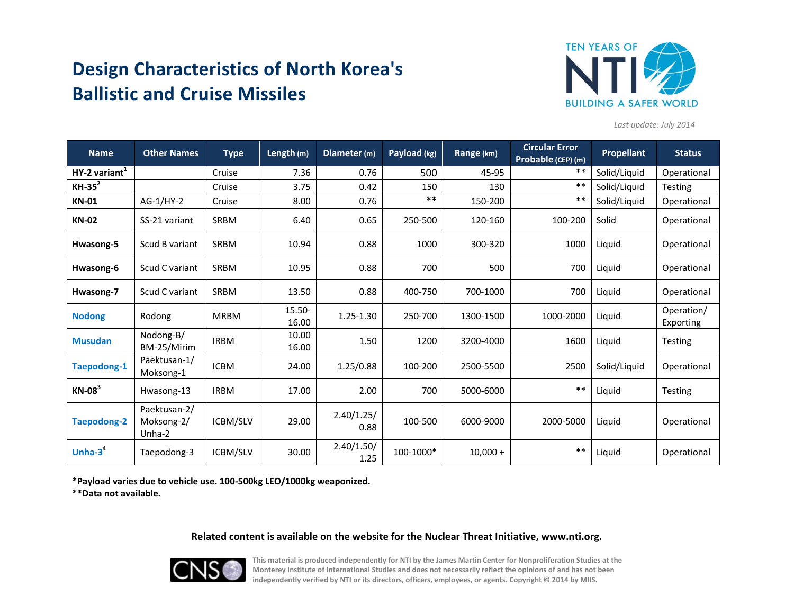# **Design Characteristics of North Korea's Ballistic and Cruise Missiles**



*Last update: July 2014*

| <b>Name</b>        | <b>Other Names</b>                   | <b>Type</b> | Length (m)      | Diameter (m)       | Payload (kg) | Range (km) | <b>Circular Error</b><br>Probable (CEP) (m) | Propellant   | <b>Status</b>           |
|--------------------|--------------------------------------|-------------|-----------------|--------------------|--------------|------------|---------------------------------------------|--------------|-------------------------|
| $HY-2 variant1$    |                                      | Cruise      | 7.36            | 0.76               | 500          | 45-95      | $***$                                       | Solid/Liquid | Operational             |
| $KH-35^2$          |                                      | Cruise      | 3.75            | 0.42               | 150          | 130        | $***$                                       | Solid/Liquid | <b>Testing</b>          |
| <b>KN-01</b>       | AG-1/HY-2                            | Cruise      | 8.00            | 0.76               | $***$        | 150-200    | $***$                                       | Solid/Liquid | Operational             |
| <b>KN-02</b>       | SS-21 variant                        | <b>SRBM</b> | 6.40            | 0.65               | 250-500      | 120-160    | 100-200                                     | Solid        | Operational             |
| Hwasong-5          | Scud B variant                       | <b>SRBM</b> | 10.94           | 0.88               | 1000         | 300-320    | 1000                                        | Liquid       | Operational             |
| Hwasong-6          | Scud C variant                       | <b>SRBM</b> | 10.95           | 0.88               | 700          | 500        | 700                                         | Liquid       | Operational             |
| Hwasong-7          | Scud C variant                       | <b>SRBM</b> | 13.50           | 0.88               | 400-750      | 700-1000   | 700                                         | Liquid       | Operational             |
| <b>Nodong</b>      | Rodong                               | <b>MRBM</b> | 15.50-<br>16.00 | 1.25-1.30          | 250-700      | 1300-1500  | 1000-2000                                   | Liquid       | Operation/<br>Exporting |
| <b>Musudan</b>     | Nodong-B/<br>BM-25/Mirim             | <b>IRBM</b> | 10.00<br>16.00  | 1.50               | 1200         | 3200-4000  | 1600                                        | Liquid       | <b>Testing</b>          |
| <b>Taepodong-1</b> | Paektusan-1/<br>Moksong-1            | <b>ICBM</b> | 24.00           | 1.25/0.88          | 100-200      | 2500-5500  | 2500                                        | Solid/Liquid | Operational             |
| $KN-08^3$          | Hwasong-13                           | <b>IRBM</b> | 17.00           | 2.00               | 700          | 5000-6000  | $***$                                       | Liquid       | <b>Testing</b>          |
| <b>Taepodong-2</b> | Paektusan-2/<br>Moksong-2/<br>Unha-2 | ICBM/SLV    | 29.00           | 2.40/1.25/<br>0.88 | 100-500      | 6000-9000  | 2000-5000                                   | Liquid       | Operational             |
| Unha- $34$         | Taepodong-3                          | ICBM/SLV    | 30.00           | 2.40/1.50/<br>1.25 | 100-1000*    | $10,000 +$ | $***$                                       | Liquid       | Operational             |

**\*Payload varies due to vehicle use. 100-500kg LEO/1000kg weaponized.**

**\*\*Data not available.**

### **Related content is available on the website for the Nuclear Threat Initiative, www.nti.org.**



**This material is produced independently for NTI by the James Martin Center for Nonproliferation Studies at the Monterey Institute of International Studies and does not necessarily reflect the opinions of and has not been independently verified by NTI or its directors, officers, employees, or agents. Copyright © 2014 by MIIS.**